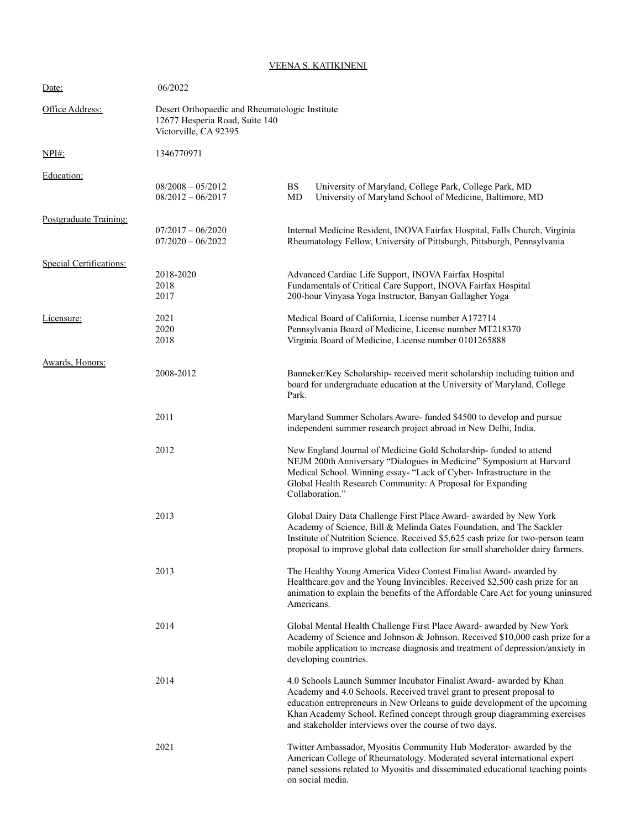## VEENA S. KATIKINENI

| Date:                   | 06/2022<br>Desert Orthopaedic and Rheumatologic Institute<br>12677 Hesperia Road, Suite 140<br>Victorville, CA 92395 |                                                                                                                                                                                                                                                                                                                                                                    |  |
|-------------------------|----------------------------------------------------------------------------------------------------------------------|--------------------------------------------------------------------------------------------------------------------------------------------------------------------------------------------------------------------------------------------------------------------------------------------------------------------------------------------------------------------|--|
| Office Address:         |                                                                                                                      |                                                                                                                                                                                                                                                                                                                                                                    |  |
| <u>NPI#:</u>            | 1346770971                                                                                                           |                                                                                                                                                                                                                                                                                                                                                                    |  |
| Education:              | $08/2008 - 05/2012$<br>$08/2012 - 06/2017$                                                                           | <b>BS</b><br>University of Maryland, College Park, College Park, MD<br>University of Maryland School of Medicine, Baltimore, MD<br>MD                                                                                                                                                                                                                              |  |
| Postgraduate Training:  | $07/2017 - 06/2020$<br>$07/2020 - 06/2022$                                                                           | Internal Medicine Resident, INOVA Fairfax Hospital, Falls Church, Virginia<br>Rheumatology Fellow, University of Pittsburgh, Pittsburgh, Pennsylvania                                                                                                                                                                                                              |  |
| Special Certifications: | 2018-2020<br>2018<br>2017                                                                                            | Advanced Cardiac Life Support, INOVA Fairfax Hospital<br>Fundamentals of Critical Care Support, INOVA Fairfax Hospital<br>200-hour Vinyasa Yoga Instructor, Banyan Gallagher Yoga                                                                                                                                                                                  |  |
| Licensure:              | 2021<br>2020<br>2018                                                                                                 | Medical Board of California, License number A172714<br>Pennsylvania Board of Medicine, License number MT218370<br>Virginia Board of Medicine, License number 0101265888                                                                                                                                                                                            |  |
| Awards, Honors:         | 2008-2012                                                                                                            | Banneker/Key Scholarship- received merit scholarship including tuition and<br>board for undergraduate education at the University of Maryland, College<br>Park.                                                                                                                                                                                                    |  |
|                         | 2011                                                                                                                 | Maryland Summer Scholars Aware- funded \$4500 to develop and pursue<br>independent summer research project abroad in New Delhi, India.                                                                                                                                                                                                                             |  |
|                         | 2012                                                                                                                 | New England Journal of Medicine Gold Scholarship-funded to attend<br>NEJM 200th Anniversary "Dialogues in Medicine" Symposium at Harvard<br>Medical School. Winning essay- "Lack of Cyber- Infrastructure in the<br>Global Health Research Community: A Proposal for Expanding<br>Collaboration."                                                                  |  |
|                         | 2013                                                                                                                 | Global Dairy Data Challenge First Place Award- awarded by New York<br>Academy of Science, Bill & Melinda Gates Foundation, and The Sackler<br>Institute of Nutrition Science. Received \$5,625 cash prize for two-person team<br>proposal to improve global data collection for small shareholder dairy farmers.                                                   |  |
|                         | 2013                                                                                                                 | The Healthy Young America Video Contest Finalist Award- awarded by<br>Healthcare.gov and the Young Invincibles. Received \$2,500 cash prize for an<br>animation to explain the benefits of the Affordable Care Act for young uninsured<br>Americans.                                                                                                               |  |
|                         | 2014                                                                                                                 | Global Mental Health Challenge First Place Award- awarded by New York<br>Academy of Science and Johnson & Johnson. Received \$10,000 cash prize for a<br>mobile application to increase diagnosis and treatment of depression/anxiety in<br>developing countries.                                                                                                  |  |
|                         | 2014                                                                                                                 | 4.0 Schools Launch Summer Incubator Finalist Award- awarded by Khan<br>Academy and 4.0 Schools. Received travel grant to present proposal to<br>education entrepreneurs in New Orleans to guide development of the upcoming<br>Khan Academy School. Refined concept through group diagramming exercises<br>and stakeholder interviews over the course of two days. |  |
|                         | 2021                                                                                                                 | Twitter Ambassador, Myositis Community Hub Moderator- awarded by the<br>American College of Rheumatology. Moderated several international expert<br>panel sessions related to Myositis and disseminated educational teaching points<br>on social media.                                                                                                            |  |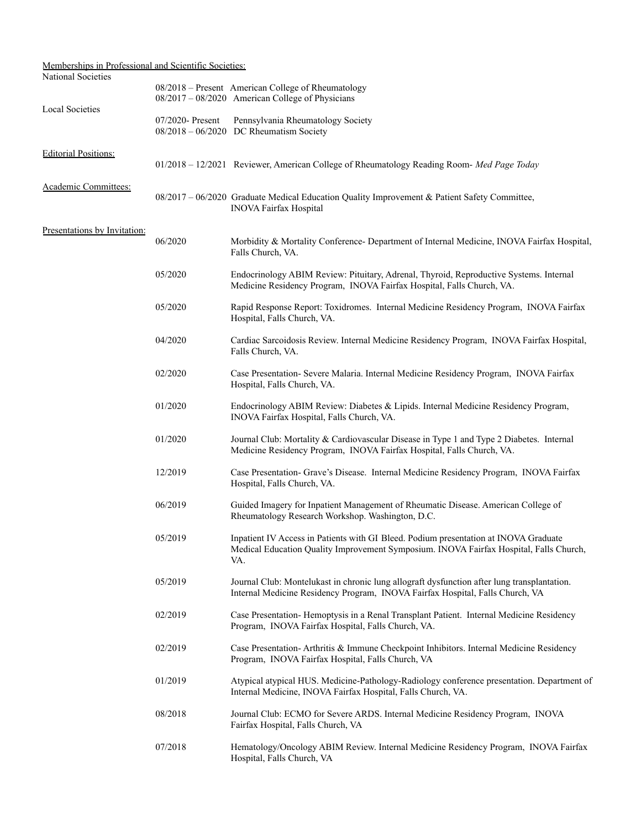| Memberships in Professional and Scientific Societies: |                     |                                                                                                                                                                                       |
|-------------------------------------------------------|---------------------|---------------------------------------------------------------------------------------------------------------------------------------------------------------------------------------|
| National Societies                                    |                     | 08/2018 - Present American College of Rheumatology<br>08/2017 - 08/2020 American College of Physicians                                                                                |
| <b>Local Societies</b>                                | $07/2020$ - Present | Pennsylvania Rheumatology Society<br>$08/2018 - 06/2020$ DC Rheumatism Society                                                                                                        |
| <b>Editorial Positions:</b>                           |                     | 01/2018 - 12/2021 Reviewer, American College of Rheumatology Reading Room- Med Page Today                                                                                             |
| Academic Committees:                                  |                     | $08/2017 - 06/2020$ Graduate Medical Education Quality Improvement & Patient Safety Committee,<br><b>INOVA Fairfax Hospital</b>                                                       |
| Presentations by Invitation:                          | 06/2020             | Morbidity & Mortality Conference- Department of Internal Medicine, INOVA Fairfax Hospital,<br>Falls Church, VA.                                                                       |
|                                                       | 05/2020             | Endocrinology ABIM Review: Pituitary, Adrenal, Thyroid, Reproductive Systems. Internal<br>Medicine Residency Program, INOVA Fairfax Hospital, Falls Church, VA.                       |
|                                                       | 05/2020             | Rapid Response Report: Toxidromes. Internal Medicine Residency Program, INOVA Fairfax<br>Hospital, Falls Church, VA.                                                                  |
|                                                       | 04/2020             | Cardiac Sarcoidosis Review. Internal Medicine Residency Program, INOVA Fairfax Hospital,<br>Falls Church, VA.                                                                         |
|                                                       | 02/2020             | Case Presentation- Severe Malaria. Internal Medicine Residency Program, INOVA Fairfax<br>Hospital, Falls Church, VA.                                                                  |
|                                                       | 01/2020             | Endocrinology ABIM Review: Diabetes & Lipids. Internal Medicine Residency Program,<br>INOVA Fairfax Hospital, Falls Church, VA.                                                       |
|                                                       | 01/2020             | Journal Club: Mortality & Cardiovascular Disease in Type 1 and Type 2 Diabetes. Internal<br>Medicine Residency Program, INOVA Fairfax Hospital, Falls Church, VA.                     |
|                                                       | 12/2019             | Case Presentation- Grave's Disease. Internal Medicine Residency Program, INOVA Fairfax<br>Hospital, Falls Church, VA.                                                                 |
|                                                       | 06/2019             | Guided Imagery for Inpatient Management of Rheumatic Disease. American College of<br>Rheumatology Research Workshop. Washington, D.C.                                                 |
|                                                       | 05/2019             | Inpatient IV Access in Patients with GI Bleed. Podium presentation at INOVA Graduate<br>Medical Education Quality Improvement Symposium. INOVA Fairfax Hospital, Falls Church,<br>VA. |
|                                                       | 05/2019             | Journal Club: Montelukast in chronic lung allograft dysfunction after lung transplantation.<br>Internal Medicine Residency Program, INOVA Fairfax Hospital, Falls Church, VA          |
|                                                       | 02/2019             | Case Presentation-Hemoptysis in a Renal Transplant Patient. Internal Medicine Residency<br>Program, INOVA Fairfax Hospital, Falls Church, VA.                                         |
|                                                       | 02/2019             | Case Presentation-Arthritis & Immune Checkpoint Inhibitors. Internal Medicine Residency<br>Program, INOVA Fairfax Hospital, Falls Church, VA                                          |
|                                                       | 01/2019             | Atypical atypical HUS. Medicine-Pathology-Radiology conference presentation. Department of<br>Internal Medicine, INOVA Fairfax Hospital, Falls Church, VA.                            |
|                                                       | 08/2018             | Journal Club: ECMO for Severe ARDS. Internal Medicine Residency Program, INOVA<br>Fairfax Hospital, Falls Church, VA                                                                  |
|                                                       | 07/2018             | Hematology/Oncology ABIM Review. Internal Medicine Residency Program, INOVA Fairfax<br>Hospital, Falls Church, VA                                                                     |